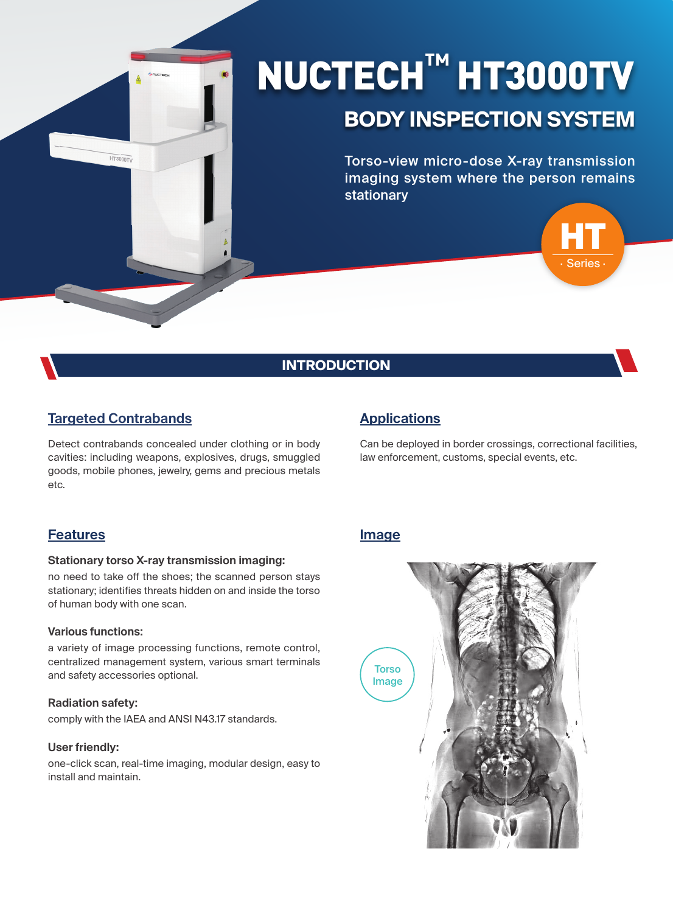# NUCTECH**™** HT3000TV

## **BODY INSPECTION SYSTEM**

Torso-view micro-dose X-ray transmission imaging system where the person remains stationary



## **INTRODUCTION**

## **Targeted Contrabands**

**HT3000TV** 

Detect contrabands concealed under clothing or in body cavities: including weapons, explosives, drugs, smuggled goods, mobile phones, jewelry, gems and precious metals etc.

## **Applications**

Can be deployed in border crossings, correctional facilities, law enforcement, customs, special events, etc.

## **Features**

#### **Stationary torso X-ray transmission imaging:**

no need to take off the shoes; the scanned person stays stationary; identifies threats hidden on and inside the torso of human body with one scan.

#### **Various functions:**

a variety of image processing functions, remote control, centralized management system, various smart terminals and safety accessories optional.

#### **Radiation safety:**

comply with the IAEA and ANSI N43.17 standards.

#### **User friendly:**

one-click scan, real-time imaging, modular design, easy to install and maintain.

#### **Image**